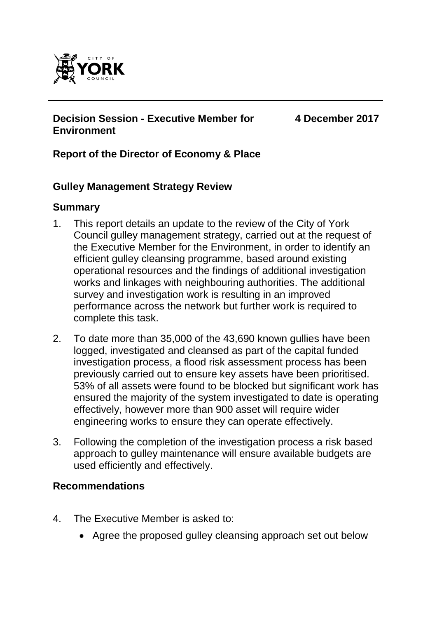

# **Decision Session - Executive Member for Environment**

**4 December 2017**

# **Report of the Director of Economy & Place**

#### **Gulley Management Strategy Review**

#### **Summary**

- 1. This report details an update to the review of the City of York Council gulley management strategy, carried out at the request of the Executive Member for the Environment, in order to identify an efficient gulley cleansing programme, based around existing operational resources and the findings of additional investigation works and linkages with neighbouring authorities. The additional survey and investigation work is resulting in an improved performance across the network but further work is required to complete this task.
- 2. To date more than 35,000 of the 43,690 known gullies have been logged, investigated and cleansed as part of the capital funded investigation process, a flood risk assessment process has been previously carried out to ensure key assets have been prioritised. 53% of all assets were found to be blocked but significant work has ensured the majority of the system investigated to date is operating effectively, however more than 900 asset will require wider engineering works to ensure they can operate effectively.
- 3. Following the completion of the investigation process a risk based approach to gulley maintenance will ensure available budgets are used efficiently and effectively.

### **Recommendations**

- 4. The Executive Member is asked to:
	- Agree the proposed gulley cleansing approach set out below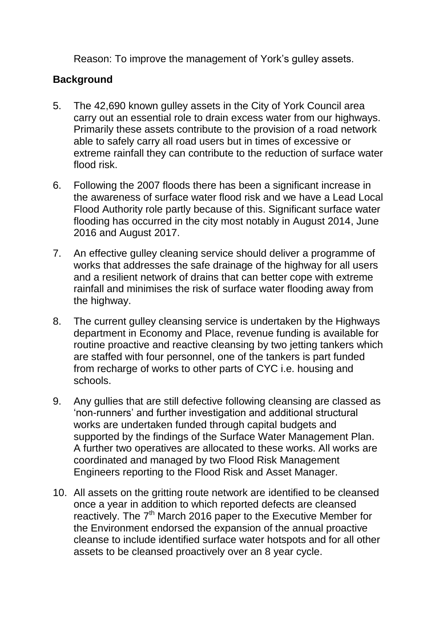Reason: To improve the management of York's gulley assets.

## **Background**

- 5. The 42,690 known gulley assets in the City of York Council area carry out an essential role to drain excess water from our highways. Primarily these assets contribute to the provision of a road network able to safely carry all road users but in times of excessive or extreme rainfall they can contribute to the reduction of surface water flood risk.
- 6. Following the 2007 floods there has been a significant increase in the awareness of surface water flood risk and we have a Lead Local Flood Authority role partly because of this. Significant surface water flooding has occurred in the city most notably in August 2014, June 2016 and August 2017.
- 7. An effective gulley cleaning service should deliver a programme of works that addresses the safe drainage of the highway for all users and a resilient network of drains that can better cope with extreme rainfall and minimises the risk of surface water flooding away from the highway.
- 8. The current gulley cleansing service is undertaken by the Highways department in Economy and Place, revenue funding is available for routine proactive and reactive cleansing by two jetting tankers which are staffed with four personnel, one of the tankers is part funded from recharge of works to other parts of CYC i.e. housing and schools.
- 9. Any gullies that are still defective following cleansing are classed as 'non-runners' and further investigation and additional structural works are undertaken funded through capital budgets and supported by the findings of the Surface Water Management Plan. A further two operatives are allocated to these works. All works are coordinated and managed by two Flood Risk Management Engineers reporting to the Flood Risk and Asset Manager.
- 10. All assets on the gritting route network are identified to be cleansed once a year in addition to which reported defects are cleansed reactively. The 7<sup>th</sup> March 2016 paper to the Executive Member for the Environment endorsed the expansion of the annual proactive cleanse to include identified surface water hotspots and for all other assets to be cleansed proactively over an 8 year cycle.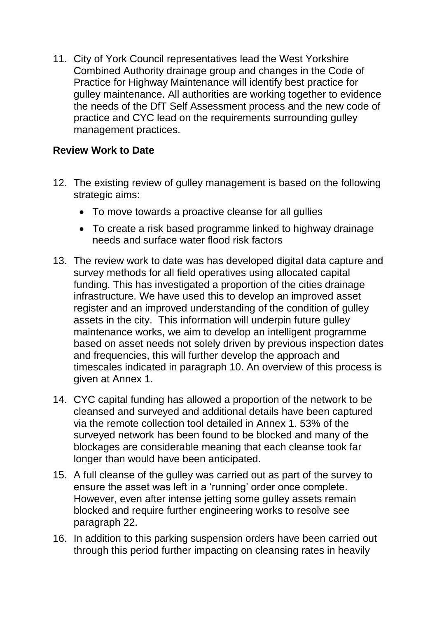11. City of York Council representatives lead the West Yorkshire Combined Authority drainage group and changes in the Code of Practice for Highway Maintenance will identify best practice for gulley maintenance. All authorities are working together to evidence the needs of the DfT Self Assessment process and the new code of practice and CYC lead on the requirements surrounding gulley management practices.

### **Review Work to Date**

- 12. The existing review of gulley management is based on the following strategic aims:
	- To move towards a proactive cleanse for all gullies
	- To create a risk based programme linked to highway drainage needs and surface water flood risk factors
- 13. The review work to date was has developed digital data capture and survey methods for all field operatives using allocated capital funding. This has investigated a proportion of the cities drainage infrastructure. We have used this to develop an improved asset register and an improved understanding of the condition of gulley assets in the city. This information will underpin future gulley maintenance works, we aim to develop an intelligent programme based on asset needs not solely driven by previous inspection dates and frequencies, this will further develop the approach and timescales indicated in paragraph 10. An overview of this process is given at Annex 1.
- 14. CYC capital funding has allowed a proportion of the network to be cleansed and surveyed and additional details have been captured via the remote collection tool detailed in Annex 1. 53% of the surveyed network has been found to be blocked and many of the blockages are considerable meaning that each cleanse took far longer than would have been anticipated.
- 15. A full cleanse of the gulley was carried out as part of the survey to ensure the asset was left in a 'running' order once complete. However, even after intense jetting some gulley assets remain blocked and require further engineering works to resolve see paragraph 22.
- 16. In addition to this parking suspension orders have been carried out through this period further impacting on cleansing rates in heavily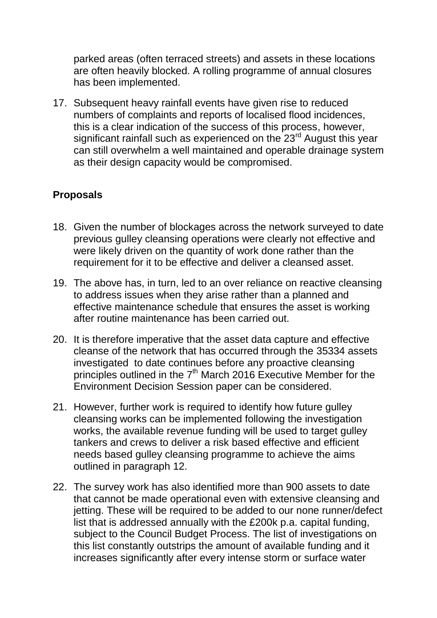parked areas (often terraced streets) and assets in these locations are often heavily blocked. A rolling programme of annual closures has been implemented.

17. Subsequent heavy rainfall events have given rise to reduced numbers of complaints and reports of localised flood incidences, this is a clear indication of the success of this process, however, significant rainfall such as experienced on the 23<sup>rd</sup> August this year can still overwhelm a well maintained and operable drainage system as their design capacity would be compromised.

# **Proposals**

- 18. Given the number of blockages across the network surveyed to date previous gulley cleansing operations were clearly not effective and were likely driven on the quantity of work done rather than the requirement for it to be effective and deliver a cleansed asset.
- 19. The above has, in turn, led to an over reliance on reactive cleansing to address issues when they arise rather than a planned and effective maintenance schedule that ensures the asset is working after routine maintenance has been carried out.
- 20. It is therefore imperative that the asset data capture and effective cleanse of the network that has occurred through the 35334 assets investigated to date continues before any proactive cleansing principles outlined in the  $7<sup>th</sup>$  March 2016 Executive Member for the Environment Decision Session paper can be considered.
- 21. However, further work is required to identify how future gulley cleansing works can be implemented following the investigation works, the available revenue funding will be used to target gulley tankers and crews to deliver a risk based effective and efficient needs based gulley cleansing programme to achieve the aims outlined in paragraph 12.
- 22. The survey work has also identified more than 900 assets to date that cannot be made operational even with extensive cleansing and jetting. These will be required to be added to our none runner/defect list that is addressed annually with the £200k p.a. capital funding, subject to the Council Budget Process. The list of investigations on this list constantly outstrips the amount of available funding and it increases significantly after every intense storm or surface water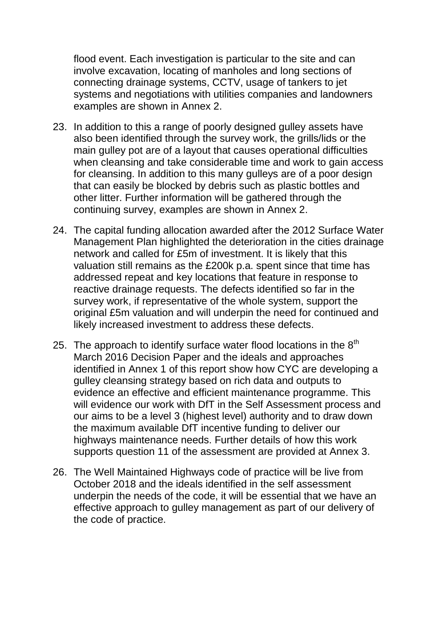flood event. Each investigation is particular to the site and can involve excavation, locating of manholes and long sections of connecting drainage systems, CCTV, usage of tankers to jet systems and negotiations with utilities companies and landowners examples are shown in Annex 2.

- 23. In addition to this a range of poorly designed gulley assets have also been identified through the survey work, the grills/lids or the main gulley pot are of a layout that causes operational difficulties when cleansing and take considerable time and work to gain access for cleansing. In addition to this many gulleys are of a poor design that can easily be blocked by debris such as plastic bottles and other litter. Further information will be gathered through the continuing survey, examples are shown in Annex 2.
- 24. The capital funding allocation awarded after the 2012 Surface Water Management Plan highlighted the deterioration in the cities drainage network and called for £5m of investment. It is likely that this valuation still remains as the £200k p.a. spent since that time has addressed repeat and key locations that feature in response to reactive drainage requests. The defects identified so far in the survey work, if representative of the whole system, support the original £5m valuation and will underpin the need for continued and likely increased investment to address these defects.
- 25. The approach to identify surface water flood locations in the  $8<sup>th</sup>$ March 2016 Decision Paper and the ideals and approaches identified in Annex 1 of this report show how CYC are developing a gulley cleansing strategy based on rich data and outputs to evidence an effective and efficient maintenance programme. This will evidence our work with DfT in the Self Assessment process and our aims to be a level 3 (highest level) authority and to draw down the maximum available DfT incentive funding to deliver our highways maintenance needs. Further details of how this work supports question 11 of the assessment are provided at Annex 3.
- 26. The Well Maintained Highways code of practice will be live from October 2018 and the ideals identified in the self assessment underpin the needs of the code, it will be essential that we have an effective approach to gulley management as part of our delivery of the code of practice.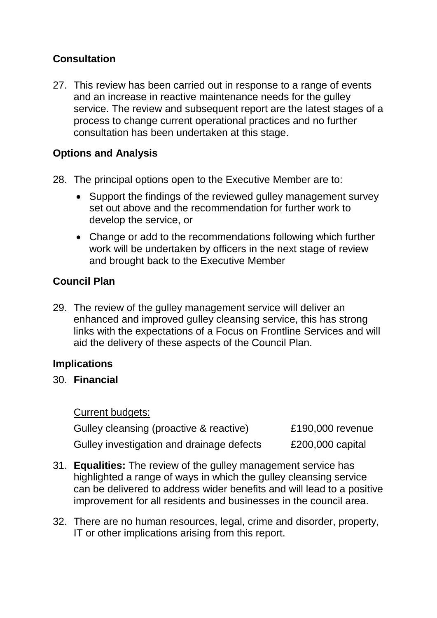# **Consultation**

27. This review has been carried out in response to a range of events and an increase in reactive maintenance needs for the gulley service. The review and subsequent report are the latest stages of a process to change current operational practices and no further consultation has been undertaken at this stage.

## **Options and Analysis**

- 28. The principal options open to the Executive Member are to:
	- Support the findings of the reviewed gulley management survey set out above and the recommendation for further work to develop the service, or
	- Change or add to the recommendations following which further work will be undertaken by officers in the next stage of review and brought back to the Executive Member

# **Council Plan**

29. The review of the gulley management service will deliver an enhanced and improved gulley cleansing service, this has strong links with the expectations of a Focus on Frontline Services and will aid the delivery of these aspects of the Council Plan.

# **Implications**

### 30. **Financial**

#### Current budgets:

| Gulley cleansing (proactive & reactive)   | £190,000 revenue   |
|-------------------------------------------|--------------------|
| Gulley investigation and drainage defects | $£200,000$ capital |

- 31. **Equalities:** The review of the gulley management service has highlighted a range of ways in which the gulley cleansing service can be delivered to address wider benefits and will lead to a positive improvement for all residents and businesses in the council area.
- 32. There are no human resources, legal, crime and disorder, property, IT or other implications arising from this report.